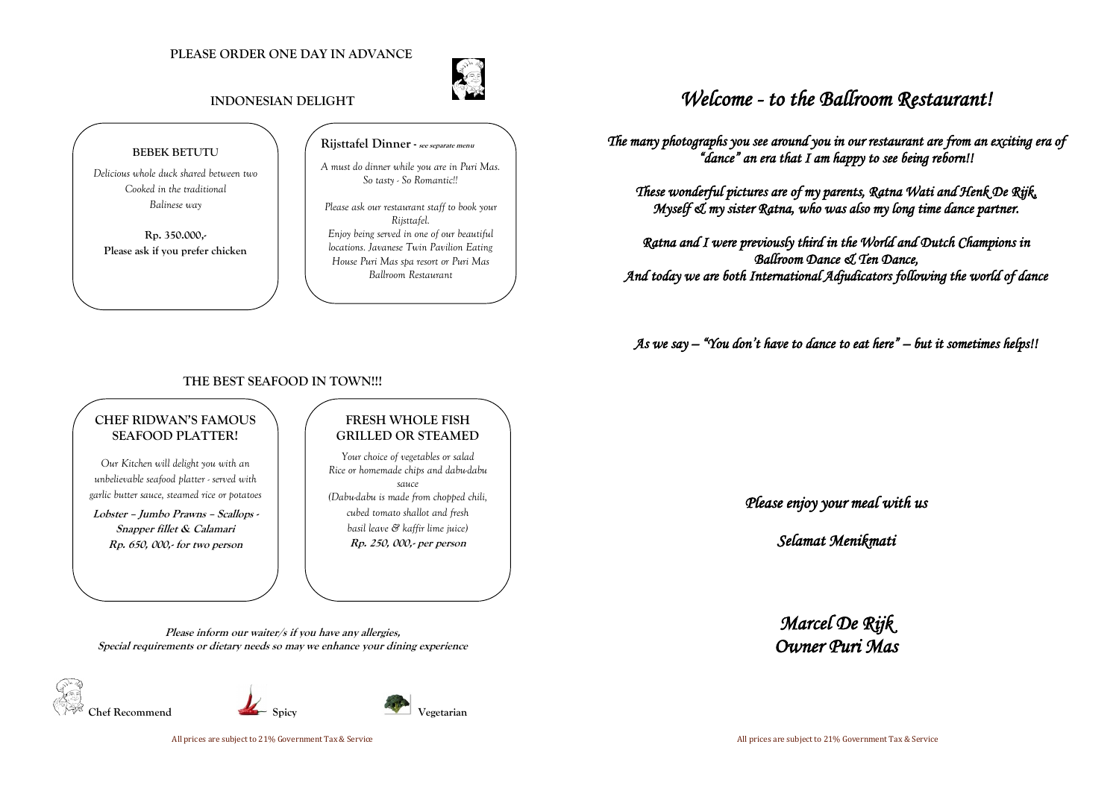#### **PLEASE ORDER ONE DAY IN ADVANCE**



#### **INDONESIAN DELIGHT**

#### **THE BEST SEAFOOD IN TOWN!!!**

**Please inform our waiter/s if you have any allergies, Special requirements or dietary needs so may we enhance your dining experience**







# *Welcome - to the Ballroom Restaurant!*

*The many photographs you see around you in our restaurant are from an exciting era of "dance" an era that I am happy to see being reborn!!* 

*These wonderful pictures are of my parents, Ratna Wati and Henk De Rijk, Myself & my sister Ratna, who was also my long time dance partner.* 

*Ratna and I were previously third in the World and Dutch Champions in Ballroom Dance & Ten Dance, And today we are both International Adjudicators following the world of dance* 

*As we say – "You don't have to dance to eat here" – but it sometimes helps!!* 

*Please enjoy your meal with us*

*Selamat Menikmati* 

*Marcel De Rijk Owner Puri Mas* 

#### **BEBEK BETUTU**

*Delicious whole duck shared between two Cooked in the traditional Balinese way*

**Rp. 350.000,- Please ask if you prefer chicken** 

#### **Rijsttafel Dinner- see separate menu**

*A must do dinner while you are in Puri Mas. So tasty - So Romantic!!*

*Please ask our restaurant staff to book your Rijsttafel. Enjoy being served in one of our beautiful locations. Javanese Twin Pavilion Eating House Puri Mas spa resort or Puri Mas Ballroom Restaurant*

#### **CHEF RIDWAN'S FAMOUS SEAFOOD PLATTER!**

*Our Kitchen will delight you with an unbelievable seafood platter - served with garlic butter sauce, steamed rice or potatoes*

**Lobster – Jumbo Prawns – Scallops - Snapper fillet & Calamari Rp. 650, 000,- for two person** 

### **FRESH WHOLE FISH GRILLED OR STEAMED**

*Your choice of vegetables or salad Rice or homemade chips and dabu-dabu sauce (Dabu-dabu is made from chopped chili, cubed tomato shallot and fresh basil leave & kaffir lime juice)* **Rp. 250, 000,- per person**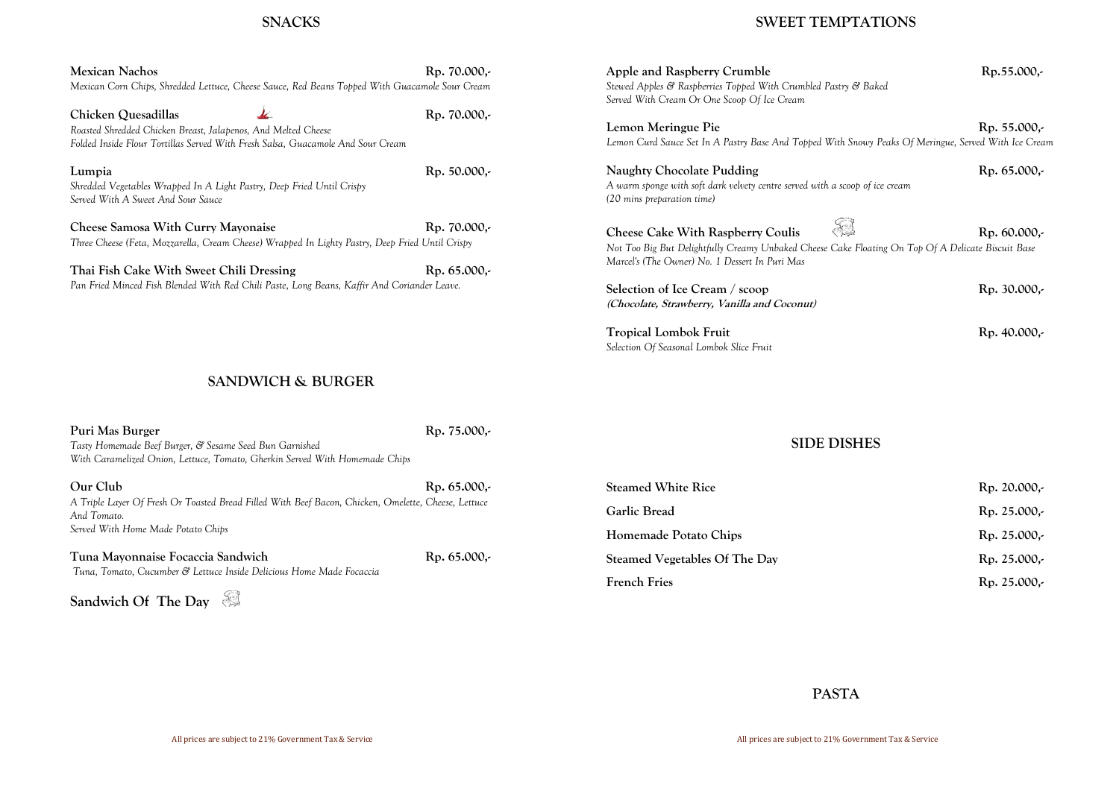### **SNACKS**

| Mexican Nachos                                                                                  | Rp. 70.000,- |
|-------------------------------------------------------------------------------------------------|--------------|
| Mexican Corn Chips, Shredded Lettuce, Cheese Sauce, Red Beans Topped With Guacamole Sour Cream  |              |
| Chicken Quesadillas                                                                             | Rp. 70.000,- |
| Roasted Shredded Chicken Breast, Jalapenos, And Melted Cheese                                   |              |
| Folded Inside Flour Tortillas Served With Fresh Salsa, Guacamole And Sour Cream                 |              |
| Lumpia                                                                                          | Rp. 50.000,- |
| Shredded Vegetables Wrapped In A Light Pastry, Deep Fried Until Crispy                          |              |
| Served With A Sweet And Sour Sauce                                                              |              |
| Cheese Samosa With Curry Mayonaise                                                              | Rp. 70.000,- |
| Three Cheese (Feta, Mozzarella, Cream Cheese) Wrapped In Lighty Pastry, Deep Fried Until Crispy |              |
| Thai Fish Cake With Sweet Chili Dressing                                                        | Rp. 65.000,- |
| Pan Fried Minced Fish Blended With Red Chili Paste, Long Beans, Kaffir And Coriander Leave.     |              |
|                                                                                                 |              |
|                                                                                                 |              |
|                                                                                                 |              |

Apple and Raspberry Crumble Rp.55.000,-*Stewed Apples & Raspberries Topped With Crumbled Pastry & Baked Served With Cream Or One Scoop Of Ice Cream*

Lemon Meringue Pie **Rp. 55.000,-***Lemon Curd Sauce Set In A Pastry Base And Topped With Snowy Peaks Of Meringue, Served With Ice Cream*

### **SANDWICH & BURGER**

Naughty Chocolate Pudding **Rp. 65.000,-***A warm sponge with soft dark velvety centre served with a scoop of ice cream (20 mins preparation time)*

**Cheese Cake With Raspberry Coulis Cheese Cake With Raspberry Coulis Rp. 60.000,-***Not Too Big But Delightfully Creamy Unbaked Cheese Cake Floating On Top Of A Delicate Biscuit Base Marcel's (The Owner) No. 1 Dessert In Puri Mas*

Selection of Ice Cream / scoop Rp. 30.000,-**(Chocolate, Strawberry, Vanilla and Coconut)**

Tropical Lombok Fruit Rp. 40.000,-*Selection Of Seasonal Lombok Slice Fruit* 

- **Steamed White Rice Rp. 20.000,- Garlic Bread Rp. 25.000,- Rp. 25.000,-**Rp. 25.000,-
- 

**Sandwich Of The Day** 

**SWEET TEMPTATIONS**

| Puri Mas Burger<br>Tasty Homemade Beef Burger, & Sesame Seed Bun Garnished<br>With Caramelized Onion, Lettuce, Tomato, Gherkin Served With Homemade Chips | Rp. 75.000,-        | <b>SIDE DISHES</b>            |              |
|-----------------------------------------------------------------------------------------------------------------------------------------------------------|---------------------|-------------------------------|--------------|
| Our Club                                                                                                                                                  | $Rp. 65.000,-$      | <b>Steamed White Rice</b>     | Rp. 20.000,- |
| A Triple Layer Of Fresh Or Toasted Bread Filled With Beef Bacon, Chicken, Omelette, Cheese, Lettuce<br>And Tomato.                                        |                     | <b>Garlic Bread</b>           | Rp. 25.000,- |
| Served With Home Made Potato Chips                                                                                                                        |                     | Homemade Potato Chips         | Rp. 25.000,- |
| Tuna Mayonnaise Focaccia Sandwich                                                                                                                         | $Rp. 65.000,-$      | Steamed Vegetables Of The Day | Rp. 25.000,- |
| Tuna, Tomato, Cucumber & Lettuce Inside Delicious Home Made Focaccia                                                                                      | <b>French Fries</b> | Rp. 25.000,-                  |              |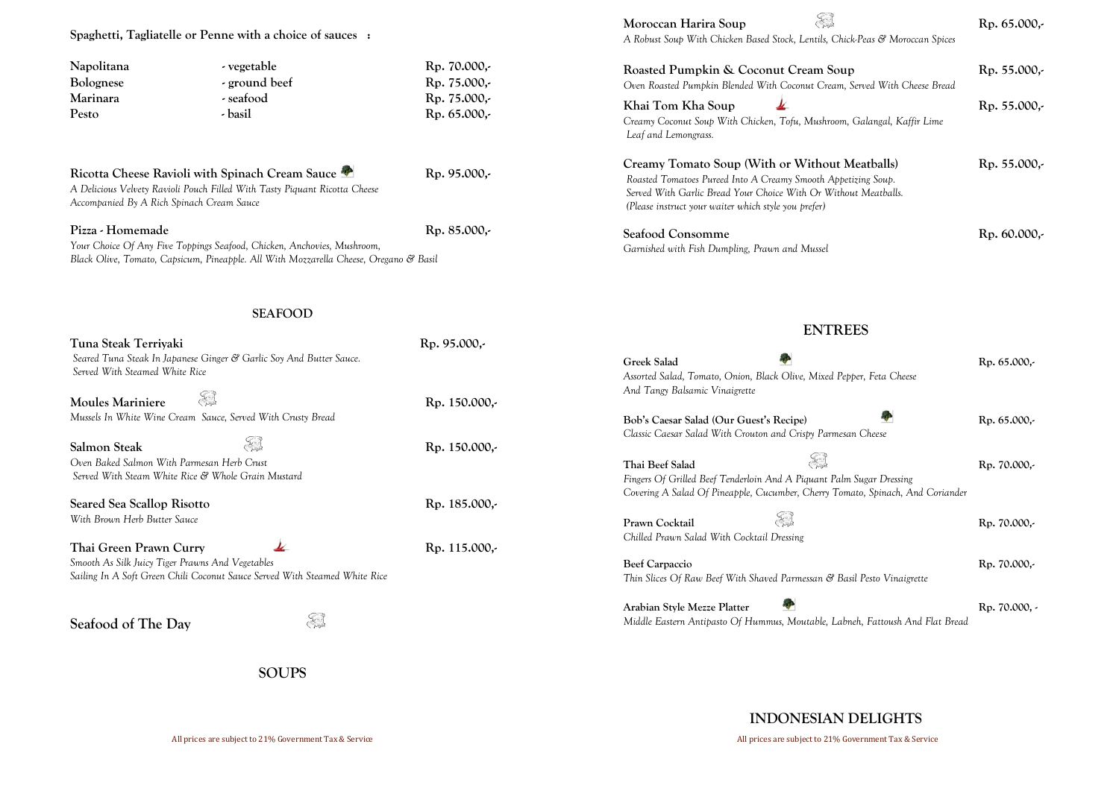**Spaghetti, Tagliatelle or Penne with a choice of sauces :**

| - vegetable   | Rp. 70.000, |
|---------------|-------------|
| - ground beef | Rp. 75.000, |
| - seafood     | Rp. 75.000, |
| - basil       | Rp. 65.000, |
|               |             |

#### Ricotta Cheese Ravioli with Spinach Cream Sauce **Reserve April 2016** Rp. 95.000,-

*A Delicious Velvety Ravioli Pouch Filled With Tasty Piquant Ricotta Cheese Accompanied By A Rich Spinach Cream Sauce*

#### **Pizza - Homemade Rp. 85.000,-**

*Your Choice Of Any Five Toppings Seafood, Chicken, Anchovies, Mushroom, Black Olive, Tomato, Capsicum, Pineapple. All With Mozzarella Cheese, Oregano & Basil* 

**SEAFOOD**

| Tuna Steak Terriyaki                                                       | Rp. 95.000,-  |                                              |
|----------------------------------------------------------------------------|---------------|----------------------------------------------|
| Seared Tuna Steak In Japanese Ginger & Garlic Soy And Butter Sauce.        |               | <b>Greek Salad</b>                           |
| Served With Steamed White Rice                                             |               | Assorted Salad, Tomato, Onion, Black Olive,  |
|                                                                            |               | And Tangy Balsamic Vinaigrette               |
| <b>Moules Mariniere</b>                                                    | Rp. 150.000,- |                                              |
| Mussels In White Wine Cream Sauce, Served With Crusty Bread                |               | Bob's Caesar Salad (Our Guest's Recipe)      |
|                                                                            |               | Classic Caesar Salad With Crouton and Cris   |
| <b>Salmon Steak</b>                                                        | Rp. 150.000,- |                                              |
| Oven Baked Salmon With Parmesan Herb Crust                                 |               | Thai Beef Salad                              |
| Served With Steam White Rice & Whole Grain Mustard                         |               | Fingers Of Grilled Beef Tenderloin And A Pic |
|                                                                            |               | Covering A Salad Of Pineapple, Cucumber, C   |
| Seared Sea Scallop Risotto                                                 | Rp. 185.000,- |                                              |
| With Brown Herb Butter Sauce                                               |               | Prawn Cocktail                               |
|                                                                            |               | Chilled Prawn Salad With Cocktail Dressing   |
| Thai Green Prawn Curry                                                     | Rp. 115.000,- |                                              |
| Smooth As Silk Juicy Tiger Prawns And Vegetables                           |               | <b>Beef Carpaccio</b>                        |
| Sailing In A Soft Green Chili Coconut Sauce Served With Steamed White Rice |               | Thin Slices Of Raw Beef With Shaved Parme.   |
|                                                                            |               | Arabian Style Mezze Platter                  |
| Seafood of The Day                                                         |               | Middle Eastern Antipasto Of Hummus, Mou      |
|                                                                            |               |                                              |

## **ENTRI**

**SOUPS** 

 **Moroccan Harira Soup Rp. 65.000,-**  *A Robust Soup With Chicken Based Stock, Lentils, Chick-Peas & Moroccan Spices* 

**INDONESIAN DELIGHTS**

| CAR<br>Moroccan Harira Soup<br>A Robust Soup With Chicken Based Stock, Lentils, Chick-Peas & Moroccan Spices                                                                                                                               | $Rp. 65.000,-$ |
|--------------------------------------------------------------------------------------------------------------------------------------------------------------------------------------------------------------------------------------------|----------------|
| Roasted Pumpkin & Coconut Cream Soup<br>Oven Roasted Pumpkin Blended With Coconut Cream, Served With Cheese Bread                                                                                                                          | $Rp. 55.000,-$ |
| Khai Tom Kha Soup<br>Creamy Coconut Soup With Chicken, Tofu, Mushroom, Galangal, Kaffir Lime<br>Leaf and Lemongrass.                                                                                                                       | Rp. 55.000,-   |
| Creamy Tomato Soup (With or Without Meatballs)<br>Roasted Tomatoes Pureed Into A Creamy Smooth Appetizing Soup.<br>Served With Garlic Bread Your Choice With Or Without Meatballs.<br>(Please instruct your waiter which style you prefer) | Rp. 55.000,-   |
| Seafood Consomme<br>Garnished with Fish Dumpling, Prawn and Mussel                                                                                                                                                                         | Rp. 60.000,-   |
| <b>ENTREES</b>                                                                                                                                                                                                                             |                |
| Greek Salad<br>Assorted Salad, Tomato, Onion, Black Olive, Mixed Pepper, Feta Cheese<br>And Tangy Balsamic Vinaigrette                                                                                                                     | Rp. 65.000,-   |
| Bob's Caesar Salad (Our Guest's Recipe)<br>Classic Caesar Salad With Crouton and Crispy Parmesan Cheese                                                                                                                                    | Rp. 65.000,-   |
| Thai Beef Salad<br>Fingers Of Grilled Beef Tenderloin And A Piquant Palm Sugar Dressing<br>Covering A Salad Of Pineapple, Cucumber, Cherry Tomato, Spinach, And Coriander                                                                  | Rp. 70.000,-   |
| E<br>Prawn Cocktail<br>Chilled Prawn Salad With Cocktail Dressing                                                                                                                                                                          | Rp. 70.000,-   |
| <b>Beef Carpaccio</b><br>Thin Slices Of Raw Beef With Shaved Parmessan & Basil Pesto Vinaigrette                                                                                                                                           | Rp. 70.000,-   |
| Arabian Style Mezze Platter<br>Middle Eastern Antipasto Of Hummus, Moutable, Labneh, Fattoush And Flat Bread                                                                                                                               | Rp. 70.000, -  |